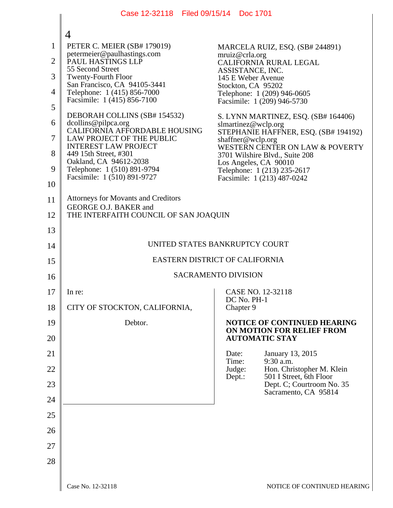|              | Case 12-32118 Filed 09/15/14 Doc 1701                                |                                                                                  |  |
|--------------|----------------------------------------------------------------------|----------------------------------------------------------------------------------|--|
|              | $\overline{4}$                                                       |                                                                                  |  |
| 1            | PETER C. MEIER (SB# 179019)                                          | MARCELA RUIZ, ESQ. (SB# 244891)                                                  |  |
| $\mathbf{2}$ | petermeier@paulhastings.com<br>PAUL HASTINGS LLP<br>55 Second Street | mruiz@crla.org<br>CALIFORNIA RURAL LEGAL                                         |  |
| 3            | <b>Twenty-Fourth Floor</b><br>San Francisco, CA 94105-3441           | ASSISTANCE, INC.<br>145 E Weber Avenue                                           |  |
| 4            | Telephone: 1 (415) 856-7000<br>Facsimile: 1 (415) 856-7100           | Stockton, CA 95202<br>Telephone: 1 (209) 946-0605<br>Facsimile: 1 (209) 946-5730 |  |
| 5            | DEBORAH COLLINS (SB# 154532)                                         | S. LYNN MARTINEZ, ESQ. (SB# 164406)                                              |  |
| 6            | dcollins@pilpca.org<br>CALIFORNIA AFFORDABLE HOUSING                 | slmartinez@wclp.org<br>STEPHANIE HAFFNER, ESQ. (SB# 194192)                      |  |
| $\tau$       | LAW PROJECT OF THE PUBLIC<br><b>INTEREST LAW PROJECT</b>             | shaffner@wclp.org<br>WESTERN CENTER ON LAW & POVERTY                             |  |
| 8            | 449 15th Street, #301<br>Oakland, CA 94612-2038                      | 3701 Wilshire Blvd., Suite 208<br>Los Angeles, CA 90010                          |  |
| 9            | Telephone: 1 (510) 891-9794<br>Facsimile: 1 (510) 891-9727           | Telephone: 1 (213) 235-2617<br>Facsimile: 1 (213) 487-0242                       |  |
| 10           | <b>Attorneys for Movants and Creditors</b>                           |                                                                                  |  |
| 11<br>12     | GEORGE O.J. BAKER and                                                |                                                                                  |  |
| 13           | THE INTERFAITH COUNCIL OF SAN JOAQUIN                                |                                                                                  |  |
| 14           | UNITED STATES BANKRUPTCY COURT                                       |                                                                                  |  |
| 15           | EASTERN DISTRICT OF CALIFORNIA                                       |                                                                                  |  |
| 16           | <b>SACRAMENTO DIVISION</b>                                           |                                                                                  |  |
| 17           | In re:                                                               | CASE NO. 12-32118                                                                |  |
| 18           | CITY OF STOCKTON, CALIFORNIA,                                        | DC No. PH-1<br>Chapter 9                                                         |  |
| 19           | Debtor.                                                              | NOTICE OF CONTINUED HEARING                                                      |  |
| 20           |                                                                      | ON MOTION FOR RELIEF FROM<br><b>AUTOMATIC STAY</b>                               |  |
| 21           |                                                                      | Date:<br><b>January 13, 2015</b><br>$9:30$ a.m.<br>Time:                         |  |
| 22           |                                                                      | Judge:<br>Hon. Christopher M. Klein<br>501 I Street, 6th Floor<br>Dept.:         |  |
| 23           |                                                                      | Dept. C; Courtroom No. 35<br>Sacramento, CA 95814                                |  |
| 24           |                                                                      |                                                                                  |  |
| 25           |                                                                      |                                                                                  |  |
| 26           |                                                                      |                                                                                  |  |
| 27           |                                                                      |                                                                                  |  |
| 28           |                                                                      |                                                                                  |  |
|              |                                                                      |                                                                                  |  |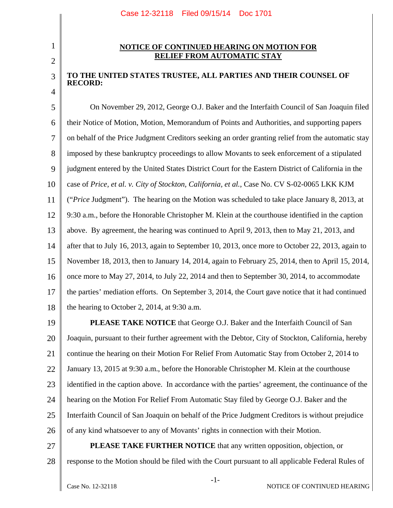## 2

3

4

1

## **NOTICE OF CONTINUED HEARING ON MOTION FOR RELIEF FROM AUTOMATIC STAY**

## **TO THE UNITED STATES TRUSTEE, ALL PARTIES AND THEIR COUNSEL OF RECORD:**

5 6 7 8 9 10 11 12 13 14 15 16 17 18 On November 29, 2012, George O.J. Baker and the Interfaith Council of San Joaquin filed their Notice of Motion, Motion, Memorandum of Points and Authorities, and supporting papers on behalf of the Price Judgment Creditors seeking an order granting relief from the automatic stay imposed by these bankruptcy proceedings to allow Movants to seek enforcement of a stipulated judgment entered by the United States District Court for the Eastern District of California in the case of *Price, et al. v. City of Stockton, California, et al.*, Case No. CV S-02-0065 LKK KJM ("*Price* Judgment"). The hearing on the Motion was scheduled to take place January 8, 2013, at 9:30 a.m., before the Honorable Christopher M. Klein at the courthouse identified in the caption above. By agreement, the hearing was continued to April 9, 2013, then to May 21, 2013, and after that to July 16, 2013, again to September 10, 2013, once more to October 22, 2013, again to November 18, 2013, then to January 14, 2014, again to February 25, 2014, then to April 15, 2014, once more to May 27, 2014, to July 22, 2014 and then to September 30, 2014, to accommodate the parties' mediation efforts. On September 3, 2014, the Court gave notice that it had continued the hearing to October 2, 2014, at 9:30 a.m.

19 20 21 22 23 24 25 26 **PLEASE TAKE NOTICE** that George O.J. Baker and the Interfaith Council of San Joaquin, pursuant to their further agreement with the Debtor, City of Stockton, California, hereby continue the hearing on their Motion For Relief From Automatic Stay from October 2, 2014 to January 13, 2015 at 9:30 a.m., before the Honorable Christopher M. Klein at the courthouse identified in the caption above. In accordance with the parties' agreement, the continuance of the hearing on the Motion For Relief From Automatic Stay filed by George O.J. Baker and the Interfaith Council of San Joaquin on behalf of the Price Judgment Creditors is without prejudice of any kind whatsoever to any of Movants' rights in connection with their Motion.

27

28 **PLEASE TAKE FURTHER NOTICE** that any written opposition, objection, or response to the Motion should be filed with the Court pursuant to all applicable Federal Rules of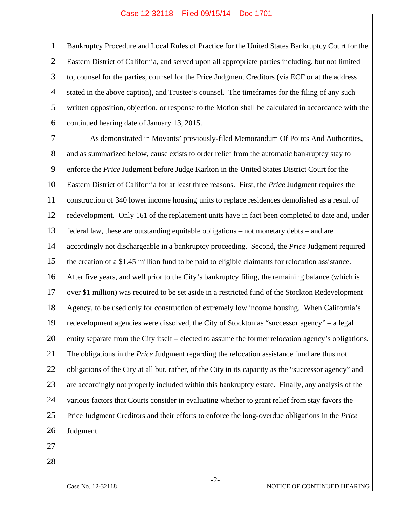## Case 12-32118 Filed 09/15/14 Doc 1701

1 2 3 4 5 6 Bankruptcy Procedure and Local Rules of Practice for the United States Bankruptcy Court for the Eastern District of California, and served upon all appropriate parties including, but not limited to, counsel for the parties, counsel for the Price Judgment Creditors (via ECF or at the address stated in the above caption), and Trustee's counsel. The timeframes for the filing of any such written opposition, objection, or response to the Motion shall be calculated in accordance with the continued hearing date of January 13, 2015.

7 8 9 10 11 12 13 14 15 16 17 18 19 20 21 22 23 24 25 26 As demonstrated in Movants' previously-filed Memorandum Of Points And Authorities, and as summarized below, cause exists to order relief from the automatic bankruptcy stay to enforce the *Price* Judgment before Judge Karlton in the United States District Court for the Eastern District of California for at least three reasons. First, the *Price* Judgment requires the construction of 340 lower income housing units to replace residences demolished as a result of redevelopment. Only 161 of the replacement units have in fact been completed to date and, under federal law, these are outstanding equitable obligations – not monetary debts – and are accordingly not dischargeable in a bankruptcy proceeding. Second, the *Price* Judgment required the creation of a \$1.45 million fund to be paid to eligible claimants for relocation assistance. After five years, and well prior to the City's bankruptcy filing, the remaining balance (which is over \$1 million) was required to be set aside in a restricted fund of the Stockton Redevelopment Agency, to be used only for construction of extremely low income housing. When California's redevelopment agencies were dissolved, the City of Stockton as "successor agency" – a legal entity separate from the City itself – elected to assume the former relocation agency's obligations. The obligations in the *Price* Judgment regarding the relocation assistance fund are thus not obligations of the City at all but, rather, of the City in its capacity as the "successor agency" and are accordingly not properly included within this bankruptcy estate. Finally, any analysis of the various factors that Courts consider in evaluating whether to grant relief from stay favors the Price Judgment Creditors and their efforts to enforce the long-overdue obligations in the *Price* Judgment.

- 27
- 28